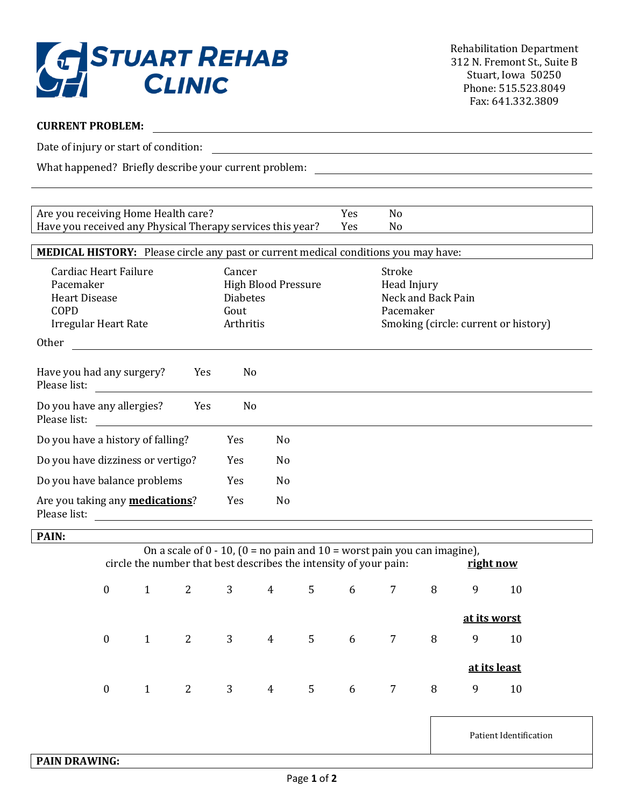

## **CURRENT PROBLEM:**

Date of injury or start of condition:

What happened? Briefly describe your current problem:

Are you receiving Home Health care? The Mesa No Have you received any Physical Therapy services this year? Yes No **MEDICAL HISTORY:** Please circle any past or current medical conditions you may have: Cardiac Heart Failure **Cancer** Cancer **Stroke** Pacemaker **High Blood Pressure** Head Injury Heart Disease **Next and Back Pain** Diabetes **Neck and Back Pain** COPD Gout Pacemaker Irregular Heart Rate Arthritis Smoking (circle: current or history) Other Have you had any surgery? Yes No Please list: Do you have any allergies? Yes No Please list: Do you have a history of falling? Yes No Do you have dizziness or vertigo? Yes No Do you have balance problems Yes No Are you taking any **medications**? Yes No Please list:

**PAIN:**

| On a scale of $0 - 10$ , $(0 =$ no pain and $10 =$ worst pain you can imagine),<br>circle the number that best describes the intensity of your pain:<br>right now |  |                     |  |     |                                             |   |   |   |              |    |
|-------------------------------------------------------------------------------------------------------------------------------------------------------------------|--|---------------------|--|-----|---------------------------------------------|---|---|---|--------------|----|
| $\bf{0}$                                                                                                                                                          |  |                     |  |     | $1 \quad 2 \quad 3 \quad 4 \quad 5 \quad 6$ |   |   | 8 | 9            | 10 |
|                                                                                                                                                                   |  |                     |  |     |                                             |   |   |   | at its worst |    |
| $\boldsymbol{0}$                                                                                                                                                  |  |                     |  |     | $1$ 2 3 4 5 6 7                             |   |   | 8 | 9            | 10 |
|                                                                                                                                                                   |  |                     |  |     |                                             |   |   |   | at its least |    |
| $\boldsymbol{0}$                                                                                                                                                  |  | $2 \qquad \qquad 3$ |  | 4 5 |                                             | 6 | 7 | 8 | 9            | 10 |
|                                                                                                                                                                   |  |                     |  |     |                                             |   |   |   |              |    |

Patient Identification